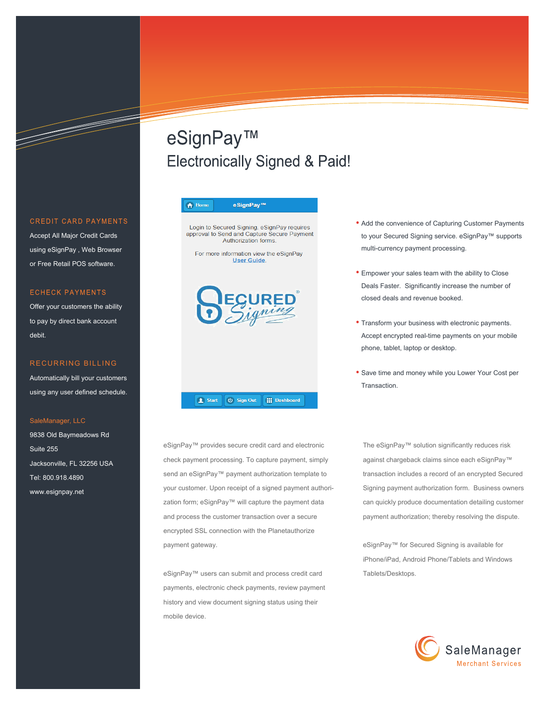### **CREDIT CARD PAYMENTS**

and the second contract of the second contract of the second contract of the second contract of the second contract of the second contract of the second contract of the second contract of the second contract of the second

Accept All Major Credit Cards using eSignPay , Web Browser or Free Retail POS software.

### **ECHECK PAYMENTS**

Offer your customers the ability to pay by direct bank account debit.

### RECURRING BILLING

Automatically bill your customers using any user defined schedule.

#### SaleManager, LLC

9838 Old Baymeadows Rd Suite 255 Jacksonville, FL 32256 USA Tel: 800.918.4890 www.esignpay.net

# eSignPay™ **Electronically Signed & Paid!**

#### eSignPay™ A Home

Login to Secured Signing. eSignPay requires<br>approval to Send and Capture Secure Payment Authorization forms.

For more information view the eSignPay **User Guide** 



#### Start | U Sign Out **III** Dashboard

eSignPay™ provides secure credit card and electronic check payment processing. To capture payment, simply send an eSignPay™ payment authorization template to your customer. Upon receipt of a signed payment authorization form; eSignPay™ will capture the payment data and process the customer transaction over a secure encrypted SSL connection with the Planetauthorize payment gateway.

eSignPay™ users can submit and process credit card payments, electronic check payments, review payment history and view document signing status using their mobile device.

- Add the convenience of Capturing Customer Payments to your Secured Signing service. eSignPay™ supports multi-currency payment processing.
- Empower your sales team with the ability to Close Deals Faster. Significantly increase the number of closed deals and revenue booked.
- Transform your business with electronic payments. Accept encrypted real-time payments on your mobile phone, tablet, laptop or desktop.
- Save time and money while you Lower Your Cost per Transaction.

The eSignPay™ solution significantly reduces risk against chargeback claims since each eSignPay™ transaction includes a record of an encrypted Secured Signing payment authorization form. Business owners can quickly produce documentation detailing customer payment authorization; thereby resolving the dispute.

eSignPay™ for Secured Signing is available for iPhone/iPad, Android Phone/Tablets and Windows Tablets/Desktops.